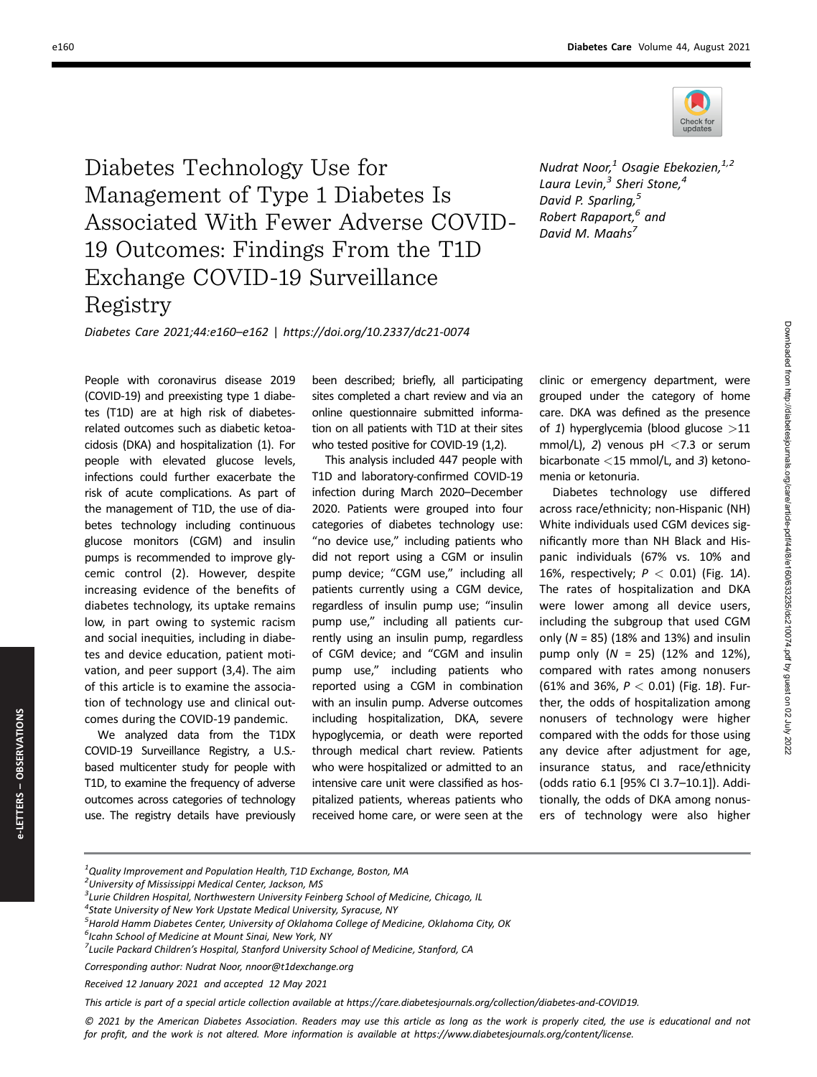

Diabetes Technology Use for Management of Type 1 Diabetes Is Associated With Fewer Adverse COVID-19 Outcomes: Findings From the T1D Exchange COVID-19 Surveillance Registry

Nudrat Noor, $1$  Osagie Ebekozien, $1,2$ Laura Levin, $^3$  Sheri Stone, $^4$ David P. Sparling,<sup>5</sup> Robert Rapaport,<sup>6</sup> and David M. Maahs<sup>7</sup>

Diabetes Care 2021;44:e160–e162 | https://doi.org/10.2337/dc21-0074

People with coronavirus disease 2019 (COVID-19) and preexisting type 1 diabetes (T1D) are at high risk of diabetesrelated outcomes such as diabetic ketoacidosis (DKA) and hospitalization (1). For people with elevated glucose levels, infections could further exacerbate the risk of acute complications. As part of the management of T1D, the use of diabetes technology including continuous glucose monitors (CGM) and insulin pumps is recommended to improve glycemic control (2). However, despite increasing evidence of the benefits of diabetes technology, its uptake remains low, in part owing to systemic racism and social inequities, including in diabetes and device education, patient motivation, and peer support (3,4). The aim of this article is to examine the association of technology use and clinical outcomes during the COVID-19 pandemic.

We analyzed data from the T1DX COVID-19 Surveillance Registry, a U.S. based multicenter study for people with T1D, to examine the frequency of adverse outcomes across categories of technology use. The registry details have previously

been described; briefly, all participating sites completed a chart review and via an online questionnaire submitted information on all patients with T1D at their sites who tested positive for COVID-19 (1,2).

This analysis included 447 people with T1D and laboratory-confirmed COVID-19 infection during March 2020–December 2020. Patients were grouped into four categories of diabetes technology use: "no device use," including patients who did not report using a CGM or insulin pump device; "CGM use," including all patients currently using a CGM device, regardless of insulin pump use; "insulin pump use," including all patients currently using an insulin pump, regardless of CGM device; and "CGM and insulin pump use," including patients who reported using a CGM in combination with an insulin pump. Adverse outcomes including hospitalization, DKA, severe hypoglycemia, or death were reported through medical chart review. Patients who were hospitalized or admitted to an intensive care unit were classified as hospitalized patients, whereas patients who received home care, or were seen at the

clinic or emergency department, were grouped under the category of home care. DKA was defined as the presence of 1) hyperglycemia (blood glucose  $>11$ mmol/L), 2) venous  $pH < 7.3$  or serum bicarbonate <15 mmol/L, and 3) ketonomenia or ketonuria.

Diabetes technology use differed across race/ethnicity; non-Hispanic (NH) White individuals used CGM devices significantly more than NH Black and Hispanic individuals (67% vs. 10% and 16%, respectively;  $P < 0.01$ ) (Fig. 1A). The rates of hospitalization and DKA were lower among all device users, including the subgroup that used CGM only  $(N = 85)$  (18% and 13%) and insulin pump only  $(N = 25)$  (12% and 12%), compared with rates among nonusers (61% and 36%,  $P < 0.01$ ) (Fig. 1B). Further, the odds of hospitalization among nonusers of technology were higher compared with the odds for those using any device after adjustment for age, insurance status, and race/ethnicity (odds ratio 6.1 [95% CI 3.7–10.1]). Additionally, the odds of DKA among nonusers of technology were also higher

<sup>2</sup>University of Mississippi Medical Center, Jackson, MS

This article is part of a special article collection available at<https://care.diabetesjournals.org/collection/diabetes-and-COVID19>.

© 2021 by the American Diabetes Association. Readers may use this article as long as the work is properly cited, the use is educational and not for profit, and the work is not altered. More information is available at https://www.diabetesjournals.org/content/license.

<sup>&</sup>lt;sup>3</sup> Lurie Children Hospital, Northwestern University Feinberg School of Medicine, Chicago, IL

<sup>4</sup> State University of New York Upstate Medical University, Syracuse, NY

<sup>&</sup>lt;sup>5</sup> Harold Hamm Diabetes Center, University of Oklahoma College of Medicine, Oklahoma City, OK

<sup>&</sup>lt;sup>6</sup>Icahn School of Medicine at Mount Sinai, New York, NY

<sup>&</sup>lt;sup>7</sup>Lucile Packard Children's Hospital, Stanford University School of Medicine, Stanford, CA

Corresponding author: Nudrat Noor, [nnoor@t1dexchange.org](mailto:nnoor@t1dexchange.org)

Received 12 January 2021 and accepted 12 May 2021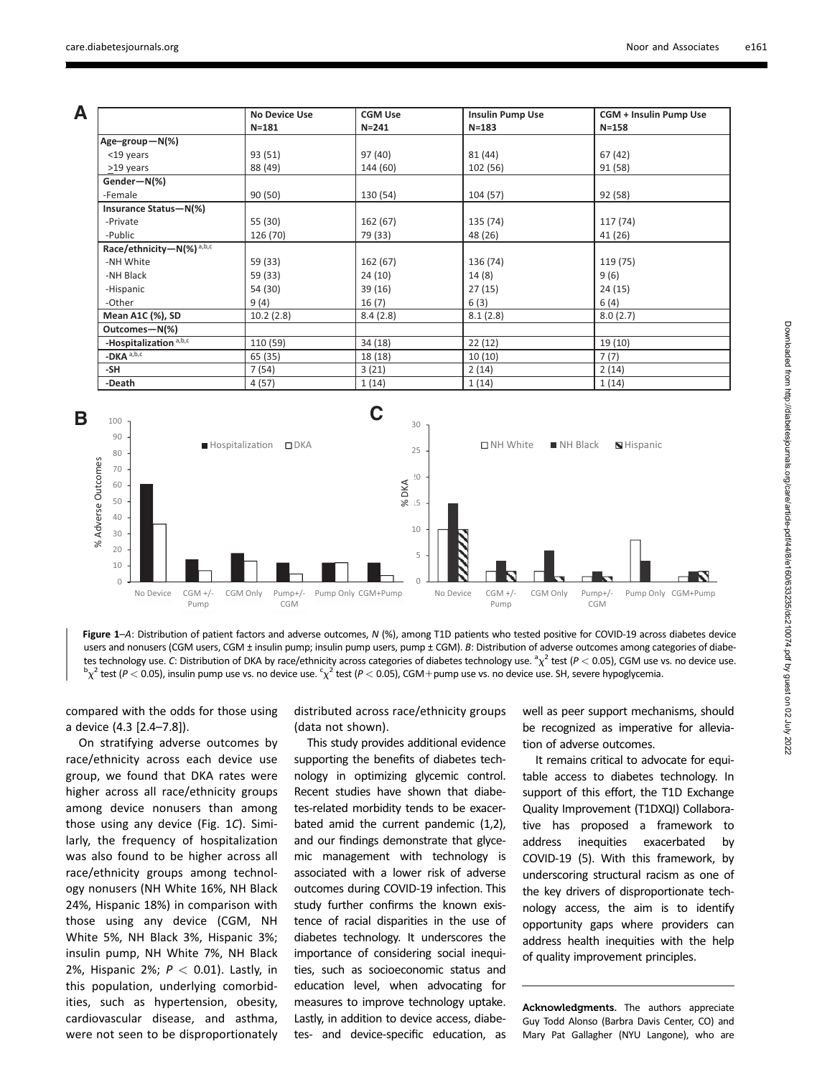**A**

|                                      | <b>No Device Use</b><br>$N = 181$ | <b>CGM Use</b><br>$N = 241$ | <b>Insulin Pump Use</b><br>$N = 183$ | CGM + Insulin Pump Use<br>$N = 158$ |
|--------------------------------------|-----------------------------------|-----------------------------|--------------------------------------|-------------------------------------|
|                                      |                                   |                             |                                      |                                     |
| Age-group-N(%)                       |                                   |                             |                                      |                                     |
| <19 years                            | 93 (51)                           | 97 (40)                     | 81 (44)                              | 67 (42)                             |
| >19 years                            | 88 (49)                           | 144 (60)                    | 102 (56)                             | 91 (58)                             |
| Gender-N(%)                          |                                   |                             |                                      |                                     |
| -Female                              | 90 (50)                           | 130 (54)                    | 104 (57)                             | 92 (58)                             |
| Insurance Status-N(%)                |                                   |                             |                                      |                                     |
| -Private                             | 55 (30)                           | 162 (67)                    | 135 (74)                             | 117 (74)                            |
| -Public                              | 126 (70)                          | 79 (33)                     | 48 (26)                              | 41 (26)                             |
| Race/ethnicity-N(%) <sup>a,b,c</sup> |                                   |                             |                                      |                                     |
| -NH White                            | 59 (33)                           | 162 (67)                    | 136 (74)                             | 119 (75)                            |
| -NH Black                            | 59 (33)                           | 24 (10)                     | 14(8)                                | 9(6)                                |
| -Hispanic                            | 54 (30)                           | 39 (16)                     | 27(15)                               | 24 (15)                             |
| -Other                               | 9(4)                              | 16(7)                       | 6(3)                                 | 6(4)                                |
| <b>Mean A1C (%), SD</b>              | 10.2(2.8)                         | 8.4(2.8)                    | 8.1(2.8)                             | 8.0(2.7)                            |
| Outcomes-N(%)                        |                                   |                             |                                      |                                     |
| -Hospitalization a,b,c               | 110 (59)                          | 34 (18)                     | 22(12)                               | 19(10)                              |
| $-DKAa,b,c$                          | 65 (35)                           | 18 (18)                     | 10(10)                               | 7(7)                                |
| -SH                                  | 7 (54)                            | 3(21)                       | 2(14)                                | 2(14)                               |
| -Death                               | 4 (57)                            | 1(14)                       | 1(14)                                | 1(14)                               |



Figure 1–A: Distribution of patient factors and adverse outcomes, <sup>N</sup> (%), among T1D patients who tested positive for COVID-19 across diabetes device users and nonusers (CGM users, CGM ± insulin pump; insulin pump users, pump ± CGM). B: Distribution of adverse outcomes among categories of diabetes technology use. C: Distribution of DKA by race/ethnicity across categories of diabetes technology use.  ${}^2\chi^2$  test ( $P < 0.05$ ), CGM use vs. no device use.<br> ${}^{b_2}Z$  test ( $P < 0.05$ ), inculin nume use vs. no device  $\chi^2$  test (P  $<$  0.05), insulin pump use vs. no device use.  $\varsigma\chi^2$  test (P  $<$  0.05), CGM+pump use vs. no device use. SH, severe hypoglycemia.

compared with the odds for those using a device (4.3 [2.4–7.8]).

On stratifying adverse outcomes by race/ethnicity across each device use group, we found that DKA rates were higher across all race/ethnicity groups among device nonusers than among those using any device (Fig. 1C). Similarly, the frequency of hospitalization was also found to be higher across all race/ethnicity groups among technology nonusers (NH White 16%, NH Black 24%, Hispanic 18%) in comparison with those using any device (CGM, NH White 5%, NH Black 3%, Hispanic 3%; insulin pump, NH White 7%, NH Black 2%, Hispanic 2%;  $P < 0.01$ ). Lastly, in this population, underlying comorbidities, such as hypertension, obesity, cardiovascular disease, and asthma, were not seen to be disproportionately

distributed across race/ethnicity groups (data not shown).

This study provides additional evidence supporting the benefits of diabetes technology in optimizing glycemic control. Recent studies have shown that diabetes-related morbidity tends to be exacerbated amid the current pandemic (1,2), and our findings demonstrate that glycemic management with technology is associated with a lower risk of adverse outcomes during COVID-19 infection. This study further confirms the known existence of racial disparities in the use of diabetes technology. It underscores the importance of considering social inequities, such as socioeconomic status and education level, when advocating for measures to improve technology uptake. Lastly, in addition to device access, diabetes- and device-specific education, as

well as peer support mechanisms, should be recognized as imperative for alleviation of adverse outcomes.

It remains critical to advocate for equitable access to diabetes technology. In support of this effort, the T1D Exchange Quality Improvement (T1DXQI) Collaborative has proposed a framework to address inequities exacerbated by COVID-19 (5). With this framework, by underscoring structural racism as one of the key drivers of disproportionate technology access, the aim is to identify opportunity gaps where providers can address health inequities with the help of quality improvement principles.

Acknowledgments. The authors appreciate Guy Todd Alonso (Barbra Davis Center, CO) and Mary Pat Gallagher (NYU Langone), who are